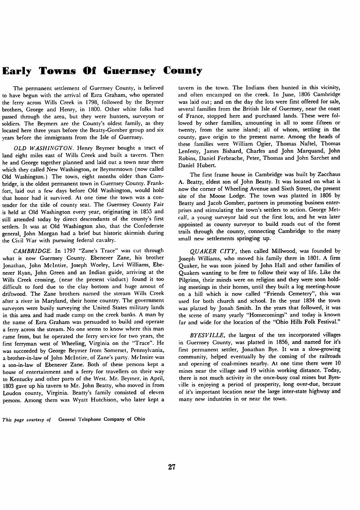# *Early Towns Of Guernsey County*

The permanent settlement of Guernsey County, is believed to have begun with the arrival of Ezra Graham, who operated the ferry across Wills Creek in 1798, followed by the Beymer brothers, George and Henry, in 1800. Other white folks had passed through the area, but they were hunters, surveyors or soldiers. The Beymers are the County's oldest family, as they located here three years before the Beatty-Gomber group and six years before the immigrants from the Isle of Guernsey.

**OLD WASHINGTON.** Henry Beymer bought a tract of land eight miles east of Wills Creek and built a tavern. Then he and George together planned and laid out a town near there which they called New Washington, or Beymerstown (now called Old Washington.) The town, eight months older than Cam bridge, is the oldest permanent town in Guernsey County. Frank fort, laid out a few days before Old Washington, would hold that honor had it survived. At one time the town was a con tender for the title of county seat. The Guernsey County Fair is held at Old Washington every year, originating in 1855 and still attended today by direct descendants of the county's first settlers. It was at Old Washington also, that the Confederate general, John Morgan had a brief but historic skirmish during the Civil War with pursuing federal cavalry.

**CAMBRIDGE.** In 1797 "Zane's Trace" was cut through what is now Guernsey County. Ebenezer Zane, his brother Jonathan, John Mclntire, Joseph Worley, Levi Williams, Ebe nezer Ryan, John Green and an Indian guide, arriving at the Wills Creek crossing, (near the present viaduct) found it too difficult to ford due to the clay bottom and huge amout of driftwood. The Zane brothers named the stream Wills Creek after a river in Maryland, their home country. The government surveyors were busily surveying the United States military lands in this area and had made camp on the creek banks. A man by the name of Ezra Graham was persuaded to build and operate a ferry across the stream. No one seems to know where this man came from, but he operated the ferry service for two years, the first ferryman west of Wheeling, Virginia on the "Trace". He was succeeded by George Beymer from Somerset, Pennsylvania, a brother-in-law of John Mclntire, of Zane's party. Mclntire was a son-in-law of Ebenezer Zane. Both of these persons kept a house of entertainment and a ferry for travellers on their way to Kentucky and other parts of the West. Mr. Beymer, in April, 1803 gave up his tavern to Mr. John Beatty, who moved in from Loudon county, Virginia. Beatty's family consisted of eleven persons. Among them was Wyatt Hutchison, who later kept a

tavern in the town. The Indians then hunted in this vicinity, and often encamped on the creek. In June, 1806 Cambridge was laid out; and on the day the lots were first offered for sale, several families from the British Isle of Guernsey, near the coast of France, stopped here and purchased lands. These were fol lowed by other families, amounting in all to some fifteen or twenty, from the same island; all of whom, settling in the county, gave origin to the present name. Among the heads of these families were William Ogier, Thomas Naftel, Thomas Lenfesty, James Bishard, Charles and John Marquand, John Robins, Daniel Ferbrache, Peter, Thomas and John Sarchet and Daniel Hubert.

The first frame house in Cambridge was built by Zacchaus A. Beatty, eldest son of John Beatty. It was located on what is now the corner of Wheeling Avenue and Sixth Street, the present site of the Moose Lodge. The town was platted in 1806 by Beatty and Jacob Gomber, partners in promoting business enter prises and stimulating the town's settlers to action. George Metcalf, a young surveyor laid out the first lots, and he was later appointed as county surveyor to build roads out of the forest trails through the county, connecting Cambridge to the many small new settlements springing up.

**QUAKER CITY,** then called Millwood, was founded by Joseph Williams, who moved his family there in 1801. A firm Quaker, he was soon joined by John Hall and other families of Quakers wanting to be free to follow their way of life. Like the Pilgrims, their minds were on religion and they were soon hold ing meetings in their homes, until they built a log meeting-house on a hill which is now called "Friends Cemetery", this was used for both church and school. In the year 1834 the town was platted by Jonah Smith. In the years that followed, it was the scene of many yearly "Homecomings" and today is known far and wide for the location of the "Ohio Hills Folk Festival."

**BYESVILLE,** the largest of the ten incorporated villages in Guernsey County, was platted in 1856, and named for it's first permanent settler, Jonathan Bye. It was a slow-growing community, helped eventually by the coming of the railroads and opening of coal-mines nearby. At one time there were 10 mines near the village and 19 within working distance. Today, there is not much activity in the once-busy coal mines but Byesville is enjoying a period of prosperity, long over-due, because of it's important location near the large inter-state highway and many new industries in or near the town.

**This page courtesy of** General Telephone Company of Ohio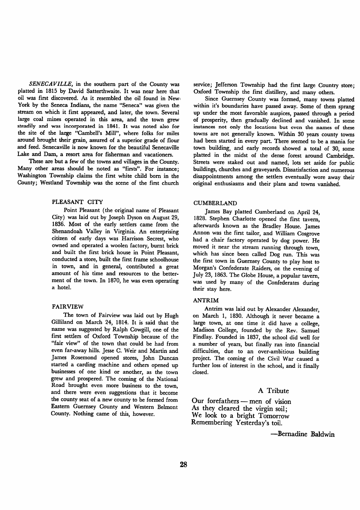**SENECAVILLE,** in the southern part of the County was platted in 1815 by David Satterthwaite. It was near here that oil was first discovered. As it resembled the oil found in New. York by the Seneca Indians, the name "Seneca" was given the stream on which it first appeared, and later, the town. Several large coal mines operated in this area, and the town grew steadily and was incorporated in 1841. It was noted also for the site of the large "Cambell's Mill", where folks for miles around brought their grain, assured of a superior grade of flour and feed. Senecaville is now known for the beautiful Senecaville Lake and Dam, a resort area for fisherman and vacationers.

These are but a few of the towns and villages in the County. Many other areas should be noted as "firsts". For instance; Washington Township claims the first white child born in the County; Westland Township was the scene of the first church

#### PLEASANT CITY

Point Pleasant (the original name of Pleasant City) was laid out by Joseph Dyson on August 29, 1836. Most of the early settlers came from the Shenandoah Valley in Virginia. An enterprising citizen of early days was Harrison Secrest, who owned and operated a woolen factory, burnt brick and built the first brick house in Point Pleasant, conducted a store, built the first frame schoolhouse in town, and in general, contributed a great amount of his time and resources to the better ment of the town. In 1870, he was even operating a hotel.

### FAIRVIEW

The town of Fairview was laid out by Hugh Gilliland on March 24, 1814. It is said that the name was suggested by Ralph Cowgill, one of the first settlers of Oxford Township because of the "fair view" of the town that could be had from even far-away hills. Jesse C. Weir and Martin and James Rosemond opened stores, John Duncan started a carding machine and others opened up businesses of one kind or another, as the town grew and prospered. The coming of the National Road brought even more business to the town, and there were even suggestions that it become the county seat of a new county to be formed from Eastern Guernsey County and Western Belmont County. Nothing came of this, however.

service; Jefferson Township had the first large Country store; Oxford Township the first distillery, and many others.

Since Guernsey County was formed, many towns platted within it's boundaries have passed away. Some of them sprang up under the most favorable auspices, passed through a period of prosperity, then gradually declined and vanished. In some instances not only the locations but even the names of these towns are not generally known. Within 30 years county towns had been started in every part. There seemed to be a mania for town building, and early records showed a total of 30, some platted in the midst of the dense forest around Cambridge. Streets were staked out and named, lots set aside for public buildings, churches and graveyards. Dissatisfaction and numerous disappointments among the settlers eventually wore away their original enthusiasms and their plans and towns vanished.

#### CUMBERLAND

James Bay platted Cumberland on April 24, 1828. Stephen Charlotte opened the first tavern, afterwards known as the Bradley House. James Annon was the first tailor, and William Cosgrove had a chair factory operated by dog power. He moved it near the stream running through town, which has since been called Dog run. This was the first town in Guernsey County to play host to Morgan's Confederate Raiders, on the evening of July23, 1863. The Globe House, a popular tavern, was used by many of the Confederates during their stay here.

#### ANTRIM

Antrim was laid out by Alexander Alexander, on March 1, 1830. Although it never became a large town, at one time it did have a college, Madison College, founded by the Rev. Samuel Findlay. Founded in 1837, the school did well for a number of years, but finally ran into financial difficulties, due to an over-ambitious building project. The coming of the Civil War caused a further loss of interest in the school, and it finally closed.

## *A Tribute*

*Our forefathers — men of vision As they cleared the virgin soil; We look to a bright Tomorrow Remembering Yesterday's toil.*

*—Bernadine Baldwin*